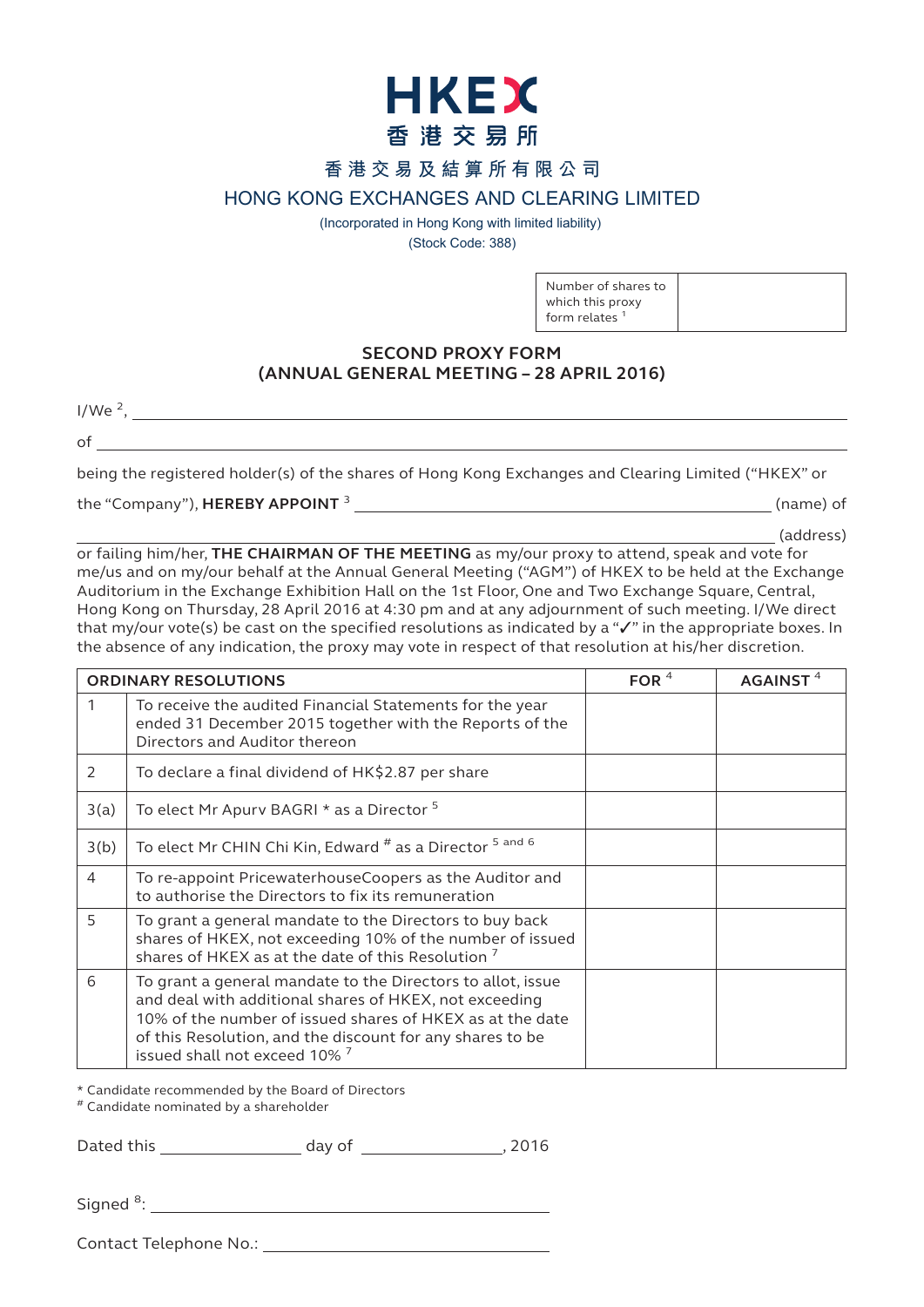

# **香港交易及結算所有限公司**

# **HONG KONG EXCHANGES AND CLEARING LIMITED**

(Incorporated in Hong Kong with limited liability) (Stock Code: 388)

> Number of shares to which this proxy form relates $<sup>1</sup>$ </sup>

## **SECOND PROXY FORM (ANNUAL GENERAL MEETING – 28 APRIL 2016)**

 $1/We<sup>2</sup>$ ,

of

being the registered holder(s) of the shares of Hong Kong Exchanges and Clearing Limited ("HKEX" or

the "Company"), **HEREBY APPOINT** <sup>3</sup> (name) of

(address)

or failing him/her, **THE CHAIRMAN OF THE MEETING** as my/our proxy to attend, speak and vote for me/us and on my/our behalf at the Annual General Meeting ("AGM") of HKEX to be held at the Exchange Auditorium in the Exchange Exhibition Hall on the 1st Floor, One and Two Exchange Square, Central, Hong Kong on Thursday, 28 April 2016 at 4:30 pm and at any adjournment of such meeting. I/We direct that my/our vote(s) be cast on the specified resolutions as indicated by a "✓" in the appropriate boxes. In the absence of any indication, the proxy may vote in respect of that resolution at his/her discretion.

| <b>ORDINARY RESOLUTIONS</b> |                                                                                                                                                                                                                                                                                  | FOR $4$ | AGAINST <sup>4</sup> |
|-----------------------------|----------------------------------------------------------------------------------------------------------------------------------------------------------------------------------------------------------------------------------------------------------------------------------|---------|----------------------|
|                             | To receive the audited Financial Statements for the year<br>ended 31 December 2015 together with the Reports of the<br>Directors and Auditor thereon                                                                                                                             |         |                      |
| $\mathcal{P}$               | To declare a final dividend of HK\$2.87 per share                                                                                                                                                                                                                                |         |                      |
| 3(a)                        | To elect Mr Apurv BAGRI * as a Director 5                                                                                                                                                                                                                                        |         |                      |
| 3(b)                        | To elect Mr CHIN Chi Kin, Edward # as a Director 5 and 6                                                                                                                                                                                                                         |         |                      |
| $\overline{4}$              | To re-appoint PricewaterhouseCoopers as the Auditor and<br>to authorise the Directors to fix its remuneration                                                                                                                                                                    |         |                      |
| 5                           | To grant a general mandate to the Directors to buy back<br>shares of HKEX, not exceeding 10% of the number of issued<br>shares of HKEX as at the date of this Resolution <sup>7</sup>                                                                                            |         |                      |
| 6                           | To grant a general mandate to the Directors to allot, issue<br>and deal with additional shares of HKEX, not exceeding<br>10% of the number of issued shares of HKEX as at the date<br>of this Resolution, and the discount for any shares to be<br>issued shall not exceed 10% 7 |         |                      |

\* Candidate recommended by the Board of Directors

# Candidate nominated by a shareholder

Dated this day of this day of the control of the control of the control of the control of the control of the control of the control of the control of the control of the control of the control of the control of the control

Signed<sup>8</sup>:

Contact Telephone No.: